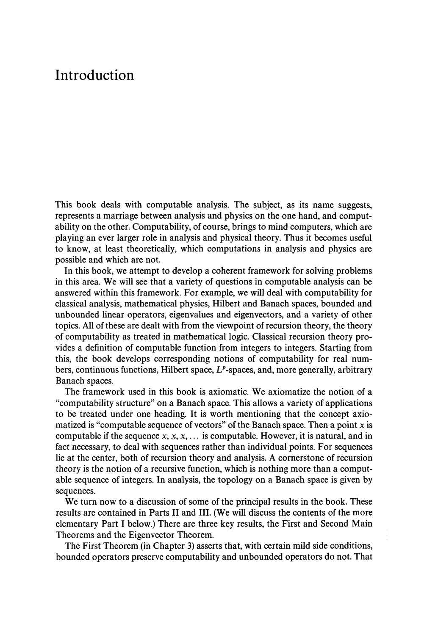## Introduction

This book deals with computable analysis. The subject, as its name suggests, represents a marriage between analysis and physics on the one hand, and comput ability on the other. Computability, of course, brings to mind computers, which are playing an ever larger role in analysis and physical theory. Thus it becomes useful to know, at least theoretically, which computations in analysis and physics are possible and which are not.

In this book, we attempt to develop a coherent framework for solving problems in this area. We will see that a variety of questions in computable analysis can be answered within this framework. For example, we will deal with computability for classical analysis, mathematical physics, Hubert and Banach spaces, bounded and unbounded linear operators, eigenvalues and eigenvectors, and a variety of other topics. All of these are dealt with from the viewpoint of recursion theory, the theory of computability as treated in mathematical logic. Classical recursion theory pro vides a definition of computable function from integers to integers. Starting from this, the book develops corresponding notions of computability for real num bers, continuous functions, Hilbert space,  $L^p$ -spaces, and, more generally, arbitrary Banach spaces.

The framework used in this book is axiomatic. We axiomatize the notion of a "computability structure" on a Banach space. This allows a variety of applications to be treated under one heading. It is worth mentioning that the concept axio matized is "computable sequence of vectors" of the Banach space. Then a point *x* is computable if the sequence  $x$ ,  $x$ ,  $x$ ,  $\ldots$  is computable. However, it is natural, and in fact necessary, to deal with sequences rather than individual points. For sequences lie at the center, both of recursion theory and analysis. A cornerstone of recursion theory is the notion of a recursive function, which is nothing more than a comput able sequence of integers. In analysis, the topology on a Banach space is given by sequences.

We turn now to a discussion of some of the principal results in the book. These results are contained in Parts II and III. (We will discuss the contents of the more elementary Part I below.) There are three key results, the First and Second Main Theorems and the Eigenvector Theorem.

The First Theorem (in Chapter 3) asserts that, with certain mild side conditions, bounded operators preserve computability and unbounded operators do not. That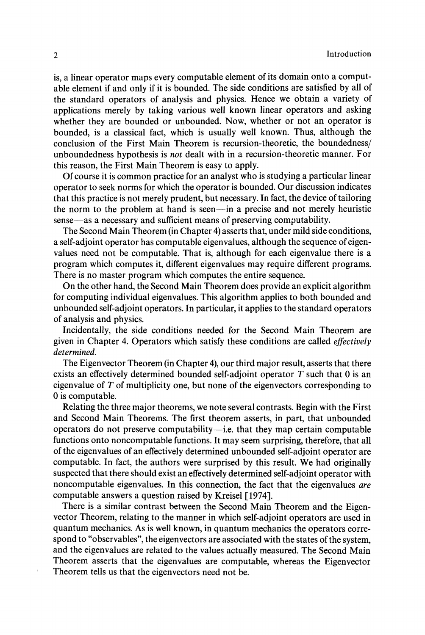is, a linear operator maps every computable element of its domain onto a computable element if and only if it is bounded. The side conditions are satisfied by all of the standard operators of analysis and physics. Hence we obtain a variety of applications merely by taking various well known linear operators and asking whether they are bounded or unbounded. Now, whether or not an operator is bounded, is a classical fact, which is usually well known. Thus, although the conclusion of the First Main Theorem is recursion-theoretic, the boundedness/ unboundedness hypothesis is *not* dealt with in a recursion-theoretic manner. For this reason, the First Main Theorem is easy to apply.

Of course it is common practice for an analyst who is studying a particular linear operator to seek norms for which the operator is bounded. Our discussion indicates that this practice is not merely prudent, but necessary. In fact, the device of tailoring the norm to the problem at hand is seen—in a precise and not merely heuristic sense—as a necessary and sufficient means of preserving computability.

The Second Main Theorem (in Chapter 4) asserts that, under mild side conditions, a self-adjoint operator has computable eigenvalues, although the sequence of eigenvalues need not be computable. That is, although for each eigenvalue there is a program which computes it, different eigenvalues may require different programs. There is no master program which computes the entire sequence.

On the other hand, the Second Main Theorem does provide an explicit algorithm for computing individual eigenvalues. This algorithm applies to both bounded and unbounded self-adjoint operators. In particular, it applies to the standard operators of analysis and physics.

Incidentally, the side conditions needed for the Second Main Theorem are given in Chapter 4. Operators which satisfy these conditions are called *effectively determined.*

The Eigenvector Theorem (in Chapter 4), our third major result, asserts that there exists an effectively determined bounded self-adjoint operator *T* such that 0 is an eigenvalue of *T* of multiplicity one, but none of the eigenvectors corresponding to 0 is computable.

Relating the three major theorems, we note several contrasts. Begin with the First and Second Main Theorems. The first theorem asserts, in part, that unbounded operators do not preserve computability—i.e. that they map certain computable functions onto noncomputable functions. It may seem surprising, therefore, that all of the eigenvalues of an effectively determined unbounded self-adjoint operator are computable. In fact, the authors were surprised by this result. We had originally suspected that there should exist an effectively determined self-adjoint operator with noncomputable eigenvalues. In this connection, the fact that the eigenvalues *are* computable answers a question raised by Kreisel [1974].

There is a similar contrast between the Second Main Theorem and the Eigenvector Theorem, relating to the manner in which self-adjoint operators are used in quantum mechanics. As is well known, in quantum mechanics the operators correspond to "observables", the eigenvectors are associated with the states of the system, and the eigenvalues are related to the values actually measured. The Second Main Theorem asserts that the eigenvalues are computable, whereas the Eigenvector Theorem tells us that the eigenvectors need not be.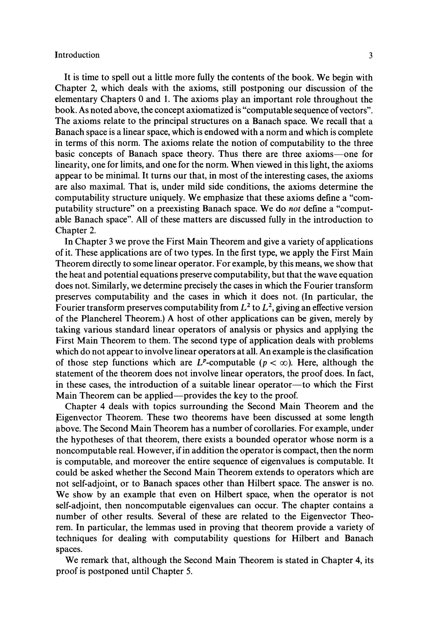## **Introduction** 3

It is time to spell out a little more fully the contents of the book. We begin with Chapter 2, which deals with the axioms, still postponing our discussion of the elementary Chapters 0 and 1. The axioms play an important role throughout the book. As noted above, the concept axiomatized is "computable sequence of vectors". The axioms relate to the principal structures on a Banach space. We recall that a Banach space is a linear space, which is endowed with a norm and which is complete in terms of this norm. The axioms relate the notion of computability to the three basic concepts of Banach space theory. Thus there are three axioms—one for linearity, one for limits, and one for the norm. When viewed in this light, the axioms appear to be minimal. It turns our that, in most of the interesting cases, the axioms are also maximal. That is, under mild side conditions, the axioms determine the computability structure uniquely. We emphasize that these axioms define a "computability structure" on a preexisting Banach space. We do *not* define a "computable Banach space". All of these matters are discussed fully in the introduction to Chapter 2.

In Chapter 3 we prove the First Main Theorem and give a variety of applications of it. These applications are of two types. In the first type, we apply the First Main Theorem directly to some linear operator. For example, by this means, we show that the heat and potential equations preserve computability, but that the wave equation does not. Similarly, we determine precisely the cases in which the Fourier transform preserves computability and the cases in which it does not. (In particular, the Fourier transform preserves computability from  $L^2$  to  $L^2$ , giving an effective version of the Plancherel Theorem.) A host of other applications can be given, merely by taking various standard linear operators of analysis or physics and applying the First Main Theorem to them. The second type of application deals with problems which do not appear to involve linear operators at all. An example is the clasification of those step functions which are  $L^p$ -computable ( $p < \infty$ ). Here, although the Statement of the theorem does not involve linear operators, the proof does. In fact, in these cases, the introduction of a suitable linear operator—to which the First Main Theorem can be applied—provides the key to the proof.

Chapter 4 deals with topics surrounding the Second Main Theorem and the Eigenvector Theorem. These two theorems have been discussed at some length above. The Second Main Theorem has a number of corollaries. For example, under the hypotheses of that theorem, there exists a bounded operator whose norm is a noncomputable real. However, if in addition the operator is compact, then the norm is computable, and moreover the entire sequence of eigenvalues is computable. It could be asked whether the Second Main Theorem extends to operators which are not self-adjoint, or to Banach spaces other than Hubert space. The answer is no. We show by an example that even on Hilbert space, when the operator is not self-adjoint, then noncomputable eigenvalues can occur. The chapter contains a number of other results. Several of these are related to the Eigenvector Theorem. In particular, the lemmas used in proving that theorem provide a variety of techniques for dealing with computability questions for Hubert and Banach spaces.

We remark that, although the Second Main Theorem is stated in Chapter 4, its proof is postponed until Chapter 5.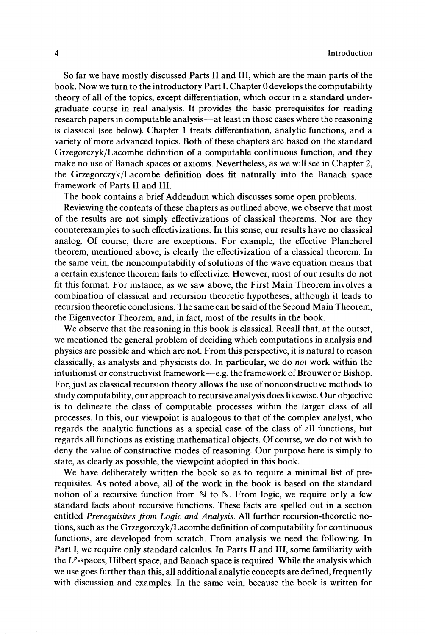So far we have mostly discussed Parts II and III, which are the main parts of the book. Now we turn to the introductory Part I. Chapter 0 develops the computability theory of all of the topics, except differentiation, which occur in a standard under graduate course in real analysis. It provides the basic prerequisites for reading research papers in computable analysis—at least in those cases where the reasoning is classical (see below). Chapter 1 treats differentiation, analytic functions, and a variety of more advanced topics. Both of these chapters are based on the standard Grzegorczyk/Lacombe definition of a computable continuous function, and they make no use of Banach spaces or axioms. Nevertheless, as we will see in Chapter 2, the Grzegorczyk/Lacombe definition does fit naturally into the Banach space framework of Parts II and III.

The book contains a brief Addendum which discusses some open problems.

Reviewing the contents of these chapters as outlined above, we observe that most of the results are not simply effectivizations of classical theorems. Nor are they counterexamples to such effectivizations. In this sense, our results have no classical analog. Of course, there are exceptions. For example, the effective Plancherel theorem, mentioned above, is clearly the effectivization of a classical theorem. In the same vein, the noncomputability of solutions of the wave equation means that a certain existence theorem fails to effectivize. However, most of our results do not fit this format. For instance, as we saw above, the First Main Theorem involves a combination of classical and recursion theoretic hypotheses, although it leads to recursion theoretic conclusions. The same can be said of the Second Main Theorem, the Eigenvector Theorem, and, in fact, most of the results in the book.

We observe that the reasoning in this book is classical. Recall that, at the outset, we mentioned the general problem of deciding which computations in analysis and physics are possible and which are not. From this perspective, it is natural to reason classically, as analysts and physicists do. In particular, we do *not* work within the intuitionist or constructivist framework—e.g. the framework of Brouwer or Bishop. For, just as classical recursion theory allows the use of nonconstructive methods to study computability, our approach to recursive analysis does likewise. Our objective is to delineate the class of computable processes within the larger class of all processes. In this, our viewpoint is analogous to that of the complex analyst, who regards the analytic functions as a special case of the class of all functions, but regards all functions as existing mathematical objects. Of course, we do not wish to deny the value of constructive modes of reasoning. Our purpose here is simply to state, as clearly as possible, the viewpoint adopted in this book.

We have deliberately written the book so as to require a minimal list of pre requisites. As noted above, all of the work in the book is based on the standard notion of a recursive function from  $\mathbb N$  to  $\mathbb N$ . From logic, we require only a few standard facts about recursive functions. These facts are spelled out in a section entitled *Prerequisites from Logic and Analysis.* All further recursion-theoretic no tions, such as the Grzegorczyk/Lacombe definition of computability for continuous functions, are developed from scratch. From analysis we need the following. In Part I, we require only standard calculus. In Parts II and III, some familiarity with the  $L^p$ -spaces, Hilbert space, and Banach space is required. While the analysis which we use goes further than this, all additional analytic concepts are defined, frequently with discussion and examples. In the same vein, because the book is written for